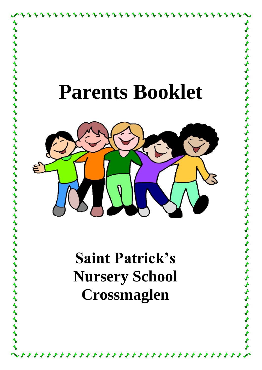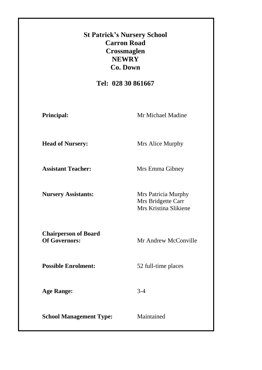| <b>St Patrick's Nursery School</b><br><b>Carron Road</b><br><b>Crossmaglen</b><br><b>NEWRY</b><br><b>Co. Down</b><br>Tel: 028 30 861667 |                                                                    |
|-----------------------------------------------------------------------------------------------------------------------------------------|--------------------------------------------------------------------|
|                                                                                                                                         |                                                                    |
| <b>Head of Nursery:</b>                                                                                                                 | Mrs Alice Murphy                                                   |
| <b>Assistant Teacher:</b>                                                                                                               | Mrs Emma Gibney                                                    |
| <b>Nursery Assistants:</b>                                                                                                              | Mrs Patricia Murphy<br>Mrs Bridgette Carr<br>Mrs Kristina Slikiene |
| <b>Chairperson of Board</b><br><b>Of Governors:</b>                                                                                     | Mr Andrew McConville                                               |
| <b>Possible Enrolment:</b>                                                                                                              | 52 full-time places                                                |
| <b>Age Range:</b>                                                                                                                       | $3-4$                                                              |
| <b>School Management Type:</b>                                                                                                          | Maintained                                                         |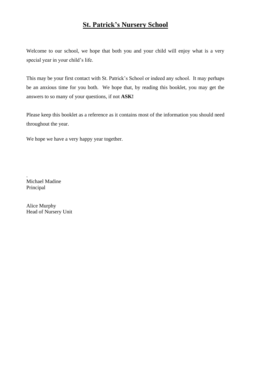# **St. Patrick's Nursery School**

Welcome to our school, we hope that both you and your child will enjoy what is a very special year in your child's life.

This may be your first contact with St. Patrick's School or indeed any school. It may perhaps be an anxious time for you both. We hope that, by reading this booklet, you may get the answers to so many of your questions, if not **ASK!**

Please keep this booklet as a reference as it contains most of the information you should need throughout the year.

We hope we have a very happy year together.

. Michael Madine Principal

Alice Murphy Head of Nursery Unit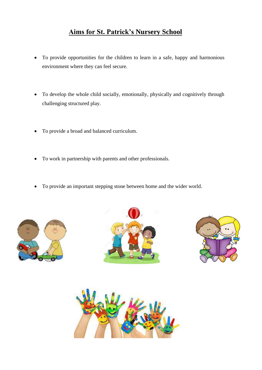# **Aims for St. Patrick's Nursery School**

- To provide opportunities for the children to learn in a safe, happy and harmonious environment where they can feel secure.
- To develop the whole child socially, emotionally, physically and cognitively through challenging structured play.
- To provide a broad and balanced curriculum.
- To work in partnership with parents and other professionals.
- To provide an important stepping stone between home and the wider world.







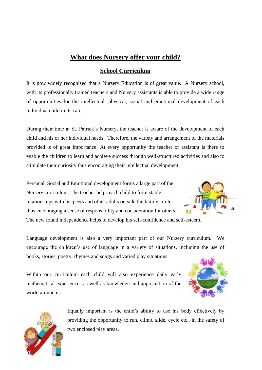## **What does Nursery offer your child?**

### **School Curriculum**

It is now widely recognised that a Nursery Education is of great value. A Nursery school, with its professionally trained teachers and Nursery assistants is able to provide a wide range of opportunities for the intellectual, physical, social and emotional development of each individual child in its care.

During their time at St. Patrick's Nursery, the teacher is aware of the development of each child and his or her individual needs. Therefore, the variety and arrangement of the materials provided is of great importance. At every opportunity the teacher or assistant is there to enable the children to learn and achieve success through well-structured activities and also to stimulate their curiosity thus encouraging their intellectual development.

Personal, Social and Emotional development forms a large part of the Nursery curriculum. The teacher helps each child to form stable relationships with his peers and other adults outside the family circle, thus encouraging a sense of responsibility and consideration for others.

The new found independence helps to develop his self-confidence and self-esteem.

Language development is also a very important part of our Nursery curriculum. We encourage the children's use of language in a variety of situations, including the use of books, stories, poetry, rhymes and songs and varied play situations.

Within our curriculum each child will also experience daily early mathematical experiences as well as knowledge and appreciation of the world around us.





Equally important is the child's ability to use his body effectively by providing the opportunity to run, climb, slide, cycle etc., in the safety of two enclosed play areas.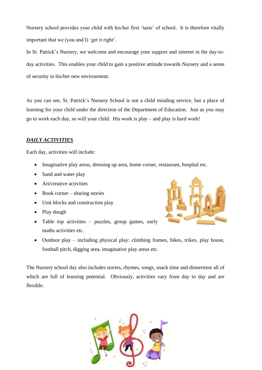Nursery school provides your child with his/her first 'taste' of school. It is therefore vitally important that we (you and I) 'get it right'.

In St. Patrick's Nursery, we welcome and encourage your support and interest in the day-today activities. This enables your child to gain a positive attitude towards Nursery and a sense of security in his/her new environment.

As you can see, St. Patrick's Nursery School is not a child minding service, but a place of learning for your child under the direction of the Department of Education. Just as you may go to work each day, so will your child. His work is play – and play is hard work!

#### *DAILY ACTIVITIES*

Each day, activities will include:

- Imaginative play areas, dressing up area, home corner, restaurant, hospital etc.
- Sand and water play
- Art/creative activities
- Book corner sharing stories
- Unit blocks and construction play
- Play dough
- Table top activities puzzles, group games, early maths activities etc.



• Outdoor play – including physical play: climbing frames, bikes, trikes, play house, football pitch, digging area, imaginative play areas etc.

The Nursery school day also includes stories, rhymes, songs, snack time and dinnertime all of which are full of learning potential. Obviously, activities vary from day to day and are flexible.

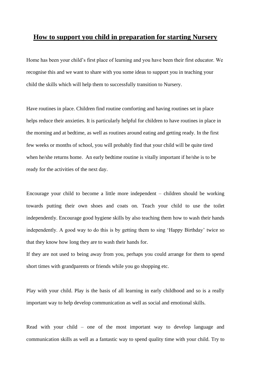#### **How to support you child in preparation for starting Nursery**

Home has been your child's first place of learning and you have been their first educator. We recognise this and we want to share with you some ideas to support you in teaching your child the skills which will help them to successfully transition to Nursery.

Have routines in place. Children find routine comforting and having routines set in place helps reduce their anxieties. It is particularly helpful for children to have routines in place in the morning and at bedtime, as well as routines around eating and getting ready. In the first few weeks or months of school, you will probably find that your child will be quite tired when he/she returns home. An early bedtime routine is vitally important if he/she is to be ready for the activities of the next day.

Encourage your child to become a little more independent – children should be working towards putting their own shoes and coats on. Teach your child to use the toilet independently. Encourage good hygiene skills by also teaching them how to wash their hands independently. A good way to do this is by getting them to sing 'Happy Birthday' twice so that they know how long they are to wash their hands for.

If they are not used to being away from you, perhaps you could arrange for them to spend short times with grandparents or friends while you go shopping etc.

Play with your child. Play is the basis of all learning in early childhood and so is a really important way to help develop communication as well as social and emotional skills.

Read with your child – one of the most important way to develop language and communication skills as well as a fantastic way to spend quality time with your child. Try to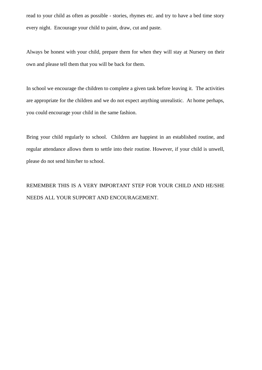read to your child as often as possible - stories, rhymes etc. and try to have a bed time story every night. Encourage your child to paint, draw, cut and paste.

Always be honest with your child, prepare them for when they will stay at Nursery on their own and please tell them that you will be back for them.

In school we encourage the children to complete a given task before leaving it. The activities are appropriate for the children and we do not expect anything unrealistic. At home perhaps, you could encourage your child in the same fashion.

Bring your child regularly to school. Children are happiest in an established routine, and regular attendance allows them to settle into their routine. However, if your child is unwell, please do not send him/her to school.

REMEMBER THIS IS A VERY IMPORTANT STEP FOR YOUR CHILD AND HE/SHE NEEDS ALL YOUR SUPPORT AND ENCOURAGEMENT.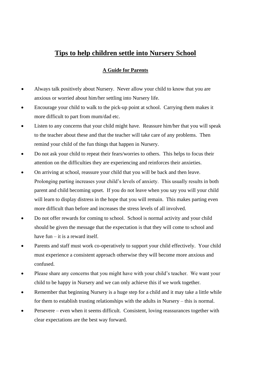# **Tips to help children settle into Nursery School**

#### **A Guide for Parents**

- Always talk positively about Nursery. Never allow your child to know that you are anxious or worried about him/her settling into Nursery life.
- Encourage your child to walk to the pick-up point at school. Carrying them makes it more difficult to part from mum/dad etc.
- Listen to any concerns that your child might have. Reassure him/her that you will speak to the teacher about these and that the teacher will take care of any problems. Then remind your child of the fun things that happen in Nursery.
- Do not ask your child to repeat their fears/worries to others. This helps to focus their attention on the difficulties they are experiencing and reinforces their anxieties.
- On arriving at school, reassure your child that you will be back and then leave. Prolonging parting increases your child's levels of anxiety. This usually results in both parent and child becoming upset. If you do not leave when you say you will your child will learn to display distress in the hope that you will remain. This makes parting even more difficult than before and increases the stress levels of all involved.
- Do not offer rewards for coming to school. School is normal activity and your child should be given the message that the expectation is that they will come to school and have fun – it is a reward itself.
- Parents and staff must work co-operatively to support your child effectively. Your child must experience a consistent approach otherwise they will become more anxious and confused.
- Please share any concerns that you might have with your child's teacher. We want your child to be happy in Nursery and we can only achieve this if we work together.
- Remember that beginning Nursery is a huge step for a child and it may take a little while for them to establish trusting relationships with the adults in Nursery – this is normal.
- Persevere even when it seems difficult. Consistent, loving reassurances together with clear expectations are the best way forward.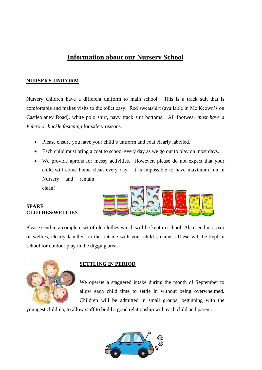# **Information about our Nursery School**

#### **NURSERY UNIFORM**

Nursery children have a different uniform to main school. This is a track suit that is comfortable and makes visits to the toilet easy. Red sweatshirt (available in Mc Keown's on Castleblaney Road), white polo shirt, navy track suit bottoms. All footwear *must have a Velcro or buckle fastening* for safety reasons.

- Please ensure you have your child's uniform and coat clearly labelled.
- Each child must bring a coat to school every day as we go out to play on most days.
- We provide aprons for messy activities. However, please do not expect that your child will come home clean every day. It is impossible to have maximum fun in Nursery and remain clean!

**SPARE CLOTHES/WELLIES**

Please send in a complete set of old clothes which will be kept in school. Also send in a pair of wellies, clearly labelled on the outside with your child's name. These will be kept in school for outdoor play in the digging area.



#### **SETTLING IN PERIOD**

We operate a staggered intake during the month of September to allow each child time to settle in without being overwhelmed. Children will be admitted in small groups, beginning with the

youngest children, to allow staff to build a good relationship with each child and parent.

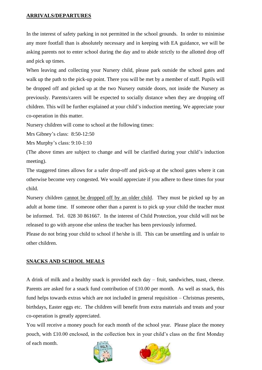#### **ARRIVALS/DEPARTURES**

In the interest of safety parking in not permitted in the school grounds. In order to minimise any more footfall than is absolutely necessary and in keeping with EA guidance, we will be asking parents not to enter school during the day and to abide strictly to the allotted drop off and pick up times.

When leaving and collecting your Nursery child, please park outside the school gates and walk up the path to the pick-up point. There you will be met by a member of staff. Pupils will be dropped off and picked up at the two Nursery outside doors, not inside the Nursery as previously. Parents/carers will be expected to socially distance when they are dropping off children. This will be further explained at your child's induction meeting. We appreciate your co-operation in this matter.

Nursery children will come to school at the following times:

Mrs Gibney's class: 8:50-12:50

Mrs Murphy's class: 9:10-1:10

(The above times are subject to change and will be clarified during your child's induction meeting).

The staggered times allows for a safer drop-off and pick-up at the school gates where it can otherwise become very congested. We would appreciate if you adhere to these times for your child.

Nursery children cannot be dropped off by an older child. They must be picked up by an adult at home time. If someone other than a parent is to pick up your child the teacher must be informed. Tel. 028 30 861667. In the interest of Child Protection, your child will not be released to go with anyone else unless the teacher has been previously informed.

Please do not bring your child to school if he/she is ill. This can be unsettling and is unfair to other children.

#### **SNACKS AND SCHOOL MEALS**

A drink of milk and a healthy snack is provided each day – fruit, sandwiches, toast, cheese. Parents are asked for a snack fund contribution of £10.00 per month. As well as snack, this fund helps towards extras which are not included in general requisition – Christmas presents, birthdays, Easter eggs etc. The children will benefit from extra materials and treats and your co-operation is greatly appreciated.

You will receive a money pouch for each month of the school year. Please place the money pouch, with £10.00 enclosed, in the collection box in your child's class on the first Monday

of each month.



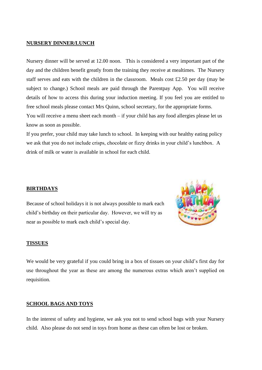#### **NURSERY DINNER/LUNCH**

Nursery dinner will be served at 12.00 noon. This is considered a very important part of the day and the children benefit greatly from the training they receive at mealtimes. The Nursery staff serves and eats with the children in the classroom. Meals cost £2.50 per day (may be subject to change.) School meals are paid through the Parentpay App. You will receive details of how to access this during your induction meeting. If you feel you are entitled to free school meals please contact Mrs Quinn, school secretary, for the appropriate forms. You will receive a menu sheet each month – if your child has any food allergies please let us know as soon as possible.

If you prefer, your child may take lunch to school. In keeping with our healthy eating policy we ask that you do not include crisps, chocolate or fizzy drinks in your child's lunchbox. A drink of milk or water is available in school for each child.

#### **BIRTHDAYS**



Because of school holidays it is not always possible to mark each child's birthday on their particular day. However, we will try as near as possible to mark each child's special day.

#### **TISSUES**

We would be very grateful if you could bring in a box of tissues on your child's first day for use throughout the year as these are among the numerous extras which aren't supplied on requisition.

#### **SCHOOL BAGS AND TOYS**

In the interest of safety and hygiene, we ask you not to send school bags with your Nursery child. Also please do not send in toys from home as these can often be lost or broken.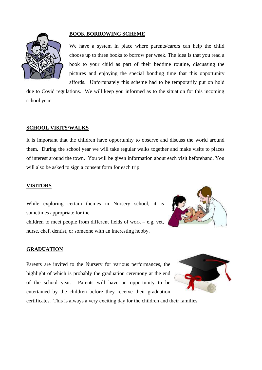

#### **BOOK BORROWING SCHEME**

We have a system in place where parents/carers can help the child choose up to three books to borrow per week. The idea is that you read a book to your child as part of their bedtime routine, discussing the pictures and enjoying the special bonding time that this opportunity affords. Unfortunately this scheme had to be temporarily put on hold

due to Covid regulations. We will keep you informed as to the situation for this incoming school year

#### **SCHOOL VISITS/WALKS**

It is important that the children have opportunity to observe and discuss the world around them. During the school year we will take regular walks together and make visits to places of interest around the town. You will be given information about each visit beforehand. You will also be asked to sign a consent form for each trip.

#### **VISITORS**

While exploring certain themes in Nursery school, it is sometimes appropriate for the

children to meet people from different fields of work – e.g. vet, nurse, chef, dentist, or someone with an interesting hobby.



#### **GRADUATION**

Parents are invited to the Nursery for various performances, the highlight of which is probably the graduation ceremony at the end of the school year. Parents will have an opportunity to be entertained by the children before they receive their graduation



certificates. This is always a very exciting day for the children and their families.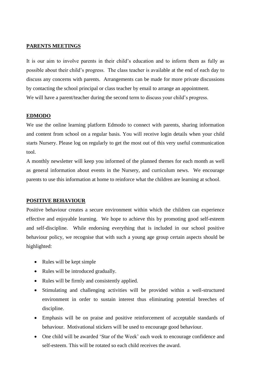#### **PARENTS MEETINGS**

It is our aim to involve parents in their child's education and to inform them as fully as possible about their child's progress. The class teacher is available at the end of each day to discuss any concerns with parents. Arrangements can be made for more private discussions by contacting the school principal or class teacher by email to arrange an appointment. We will have a parent/teacher during the second term to discuss your child's progress.

#### **EDMODO**

We use the online learning platform Edmodo to connect with parents, sharing information and content from school on a regular basis. You will receive login details when your child starts Nursery. Please log on regularly to get the most out of this very useful communication tool.

A monthly newsletter will keep you informed of the planned themes for each month as well as general information about events in the Nursery, and curriculum news. We encourage parents to use this information at home to reinforce what the children are learning at school.

#### **POSITIVE BEHAVIOUR**

Positive behaviour creates a secure environment within which the children can experience effective and enjoyable learning. We hope to achieve this by promoting good self-esteem and self-discipline. While endorsing everything that is included in our school positive behaviour policy, we recognise that with such a young age group certain aspects should be highlighted:

- Rules will be kept simple
- Rules will be introduced gradually.
- Rules will be firmly and consistently applied.
- Stimulating and challenging activities will be provided within a well-structured environment in order to sustain interest thus eliminating potential breeches of discipline.
- Emphasis will be on praise and positive reinforcement of acceptable standards of behaviour. Motivational stickers will be used to encourage good behaviour.
- One child will be awarded 'Star of the Week' each week to encourage confidence and self-esteem. This will be rotated so each child receives the award.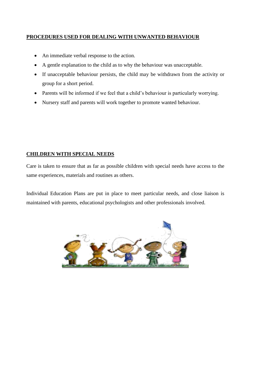#### **PROCEDURES USED FOR DEALING WITH UNWANTED BEHAVIOUR**

- An immediate verbal response to the action.
- A gentle explanation to the child as to why the behaviour was unacceptable.
- If unacceptable behaviour persists, the child may be withdrawn from the activity or group for a short period.
- Parents will be informed if we feel that a child's behaviour is particularly worrying.
- Nursery staff and parents will work together to promote wanted behaviour.

### **CHILDREN WITH SPECIAL NEEDS**

Care is taken to ensure that as far as possible children with special needs have access to the same experiences, materials and routines as others.

Individual Education Plans are put in place to meet particular needs, and close liaison is maintained with parents, educational psychologists and other professionals involved.

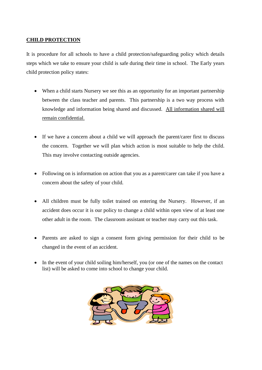#### **CHILD PROTECTION**

It is procedure for all schools to have a child protection/safeguarding policy which details steps which we take to ensure your child is safe during their time in school. The Early years child protection policy states:

- When a child starts Nursery we see this as an opportunity for an important partnership between the class teacher and parents. This partnership is a two way process with knowledge and information being shared and discussed. All information shared will remain confidential.
- If we have a concern about a child we will approach the parent/carer first to discuss the concern. Together we will plan which action is most suitable to help the child. This may involve contacting outside agencies.
- Following on is information on action that you as a parent/carer can take if you have a concern about the safety of your child.
- All children must be fully toilet trained on entering the Nursery. However, if an accident does occur it is our policy to change a child within open view of at least one other adult in the room. The classroom assistant or teacher may carry out this task.
- Parents are asked to sign a consent form giving permission for their child to be changed in the event of an accident.
- In the event of your child soiling him/herself, you (or one of the names on the contact list) will be asked to come into school to change your child.

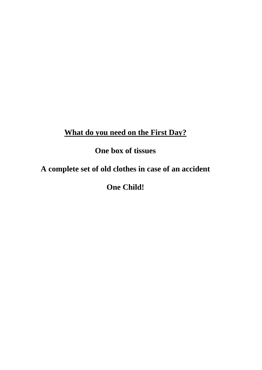# **What do you need on the First Day?**

**One box of tissues**

# **A complete set of old clothes in case of an accident**

# **One Child!**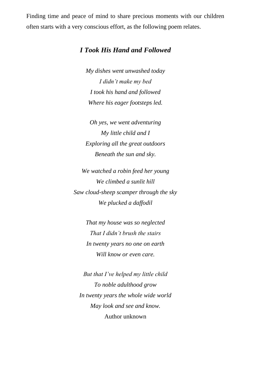Finding time and peace of mind to share precious moments with our children often starts with a very conscious effort, as the following poem relates.

## *I Took His Hand and Followed*

*My dishes went unwashed today I didn't make my bed I took his hand and followed Where his eager footsteps led.*

*Oh yes, we went adventuring My little child and I Exploring all the great outdoors Beneath the sun and sky.*

*We watched a robin feed her young We climbed a sunlit hill Saw cloud-sheep scamper through the sky We plucked a daffodil*

> *That my house was so neglected That I didn't brush the stairs In twenty years no one on earth Will know or even care.*

*But that I've helped my little child To noble adulthood grow In twenty years the whole wide world May look and see and know.* Author unknown